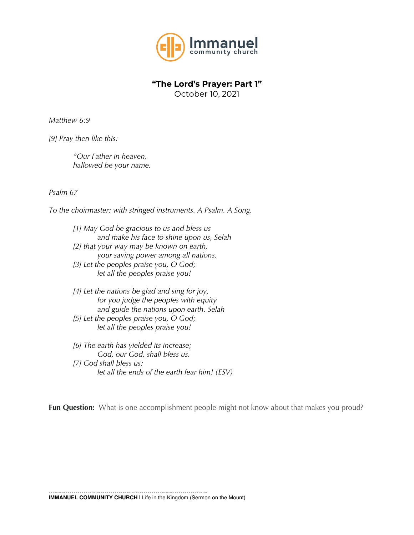

## **"The Lord's Prayer: Part 1"**

October 10, 2021

*Matthew 6:9*

*[9] Pray then like this:*

*"Our Father in heaven, hallowed be your name.* 

*Psalm 67*

*To the choirmaster: with stringed instruments. A Psalm. A Song.*

*[1] May God be gracious to us and bless us and make his face to shine upon us, Selah [2] that your way may be known on earth, your saving power among all nations. [3] Let the peoples praise you, O God; let all the peoples praise you!*

*[4] Let the nations be glad and sing for joy, for you judge the peoples with equity and guide the nations upon earth. Selah [5] Let the peoples praise you, O God; let all the peoples praise you!*

*[6] The earth has yielded its increase; God, our God, shall bless us. [7] God shall bless us; let all the ends of the earth fear him! (ESV)*

**Fun Question:** What is one accomplishment people might not know about that makes you proud?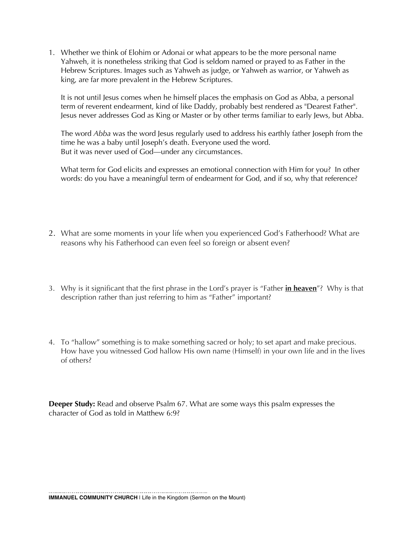1. Whether we think of Elohim or Adonai or what appears to be the more personal name Yahweh, it is nonetheless striking that God is seldom named or prayed to as Father in the Hebrew Scriptures. Images such as Yahweh as judge, or Yahweh as warrior, or Yahweh as king, are far more prevalent in the Hebrew Scriptures.

It is not until Jesus comes when he himself places the emphasis on God as Abba, a personal term of reverent endearment, kind of like Daddy, probably best rendered as "Dearest Father". Jesus never addresses God as King or Master or by other terms familiar to early Jews, but Abba.

The word *Abba* was the word Jesus regularly used to address his earthly father Joseph from the time he was a baby until Joseph's death. Everyone used the word. But it was never used of God—under any circumstances.

What term for God elicits and expresses an emotional connection with Him for you? In other words: do you have a meaningful term of endearment for God, and if so, why that reference?

- 2. What are some moments in your life when you experienced God's Fatherhood? What are reasons why his Fatherhood can even feel so foreign or absent even?
- 3. Why is it significant that the first phrase in the Lord's prayer is "Father **in heaven**"? Why is that description rather than just referring to him as "Father" important?
- 4. To "hallow" something is to make something sacred or holy; to set apart and make precious. How have you witnessed God hallow His own name (Himself) in your own life and in the lives of others?

**Deeper Study:** Read and observe Psalm 67. What are some ways this psalm expresses the character of God as told in Matthew 6:9?